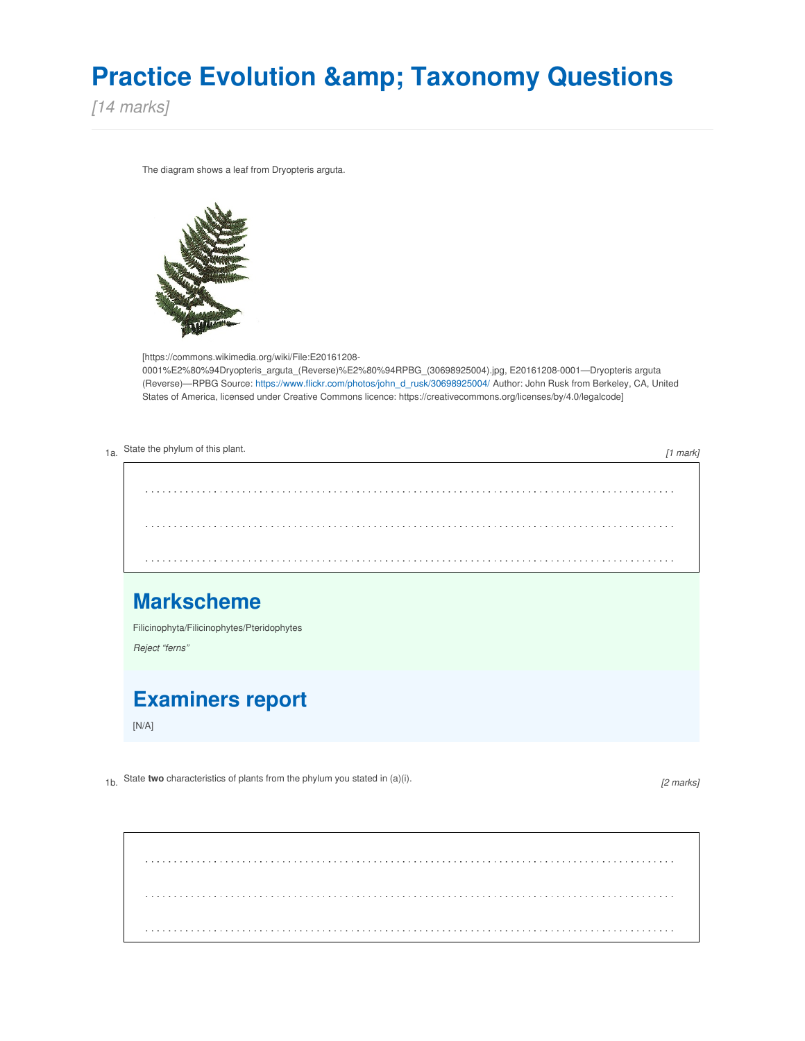# **Practice Evolution & Taxonomy Questions**

*[14 marks]*

The diagram shows a leaf from Dryopteris arguta.



[https://commons.wikimedia.org/wiki/File:E20161208- 0001%E2%80%94Dryopteris\_arguta\_(Reverse)%E2%80%94RPBG\_(30698925004).jpg, E20161208-0001—Dryopteris arguta (Reverse)—RPBG Source: [https://www.flickr.com/photos/john\\_d\\_rusk/30698925004/](https://www.flickr.com/photos/john_d_rusk/30698925004/) Author: John Rusk from Berkeley, CA, United States of America, licensed under Creative Commons licence: https://creativecommons.org/licenses/by/4.0/legalcode]

| 1a. State the phylum of this plant.<br>$[1$ mark]               |  |
|-----------------------------------------------------------------|--|
| .                                                               |  |
|                                                                 |  |
|                                                                 |  |
| <b>Markscheme</b><br>Filicinophyta/Filicinophytes/Pteridophytes |  |
| Reject "ferns"                                                  |  |
| <b>Examiners report</b><br>[N/A]                                |  |

1b. State **two** characteristics of plants from the phylum you stated in (a)(i).

*[2 marks]*

. . . . . . . . . . . . . . . . . . . .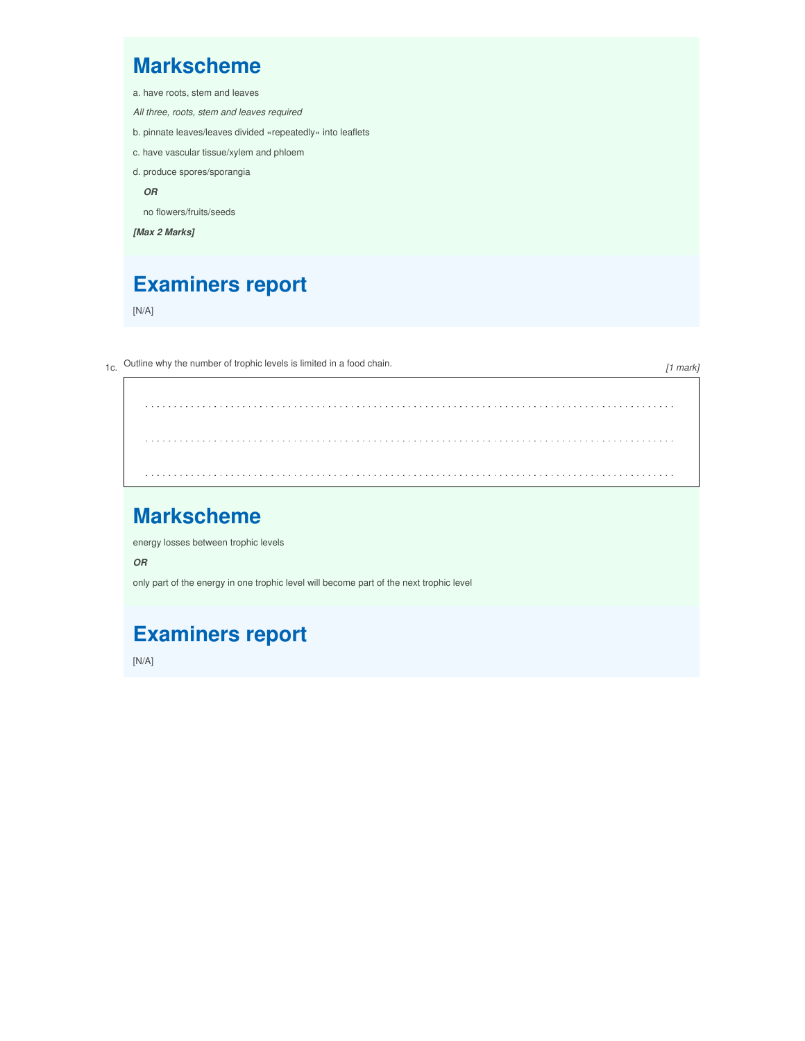#### **Markscheme**

- a. have roots, stem and leaves
- *All three, roots, stem and leaves required*
- b. pinnate leaves/leaves divided «repeatedly» into leaflets
- c. have vascular tissue/xylem and phloem
- d. produce spores/sporangia

*OR*

no flowers/fruits/seeds

*[Max 2 Marks]*

## **Examiners report**

[N/A]

1c. Outline why the number of trophic levels is limited in <sup>a</sup> food chain.

*[1 mark]*

#### **Markscheme**

energy losses between trophic levels

*OR*

only part of the energy in one trophic level will become part of the next trophic level

## **Examiners report**

[N/A]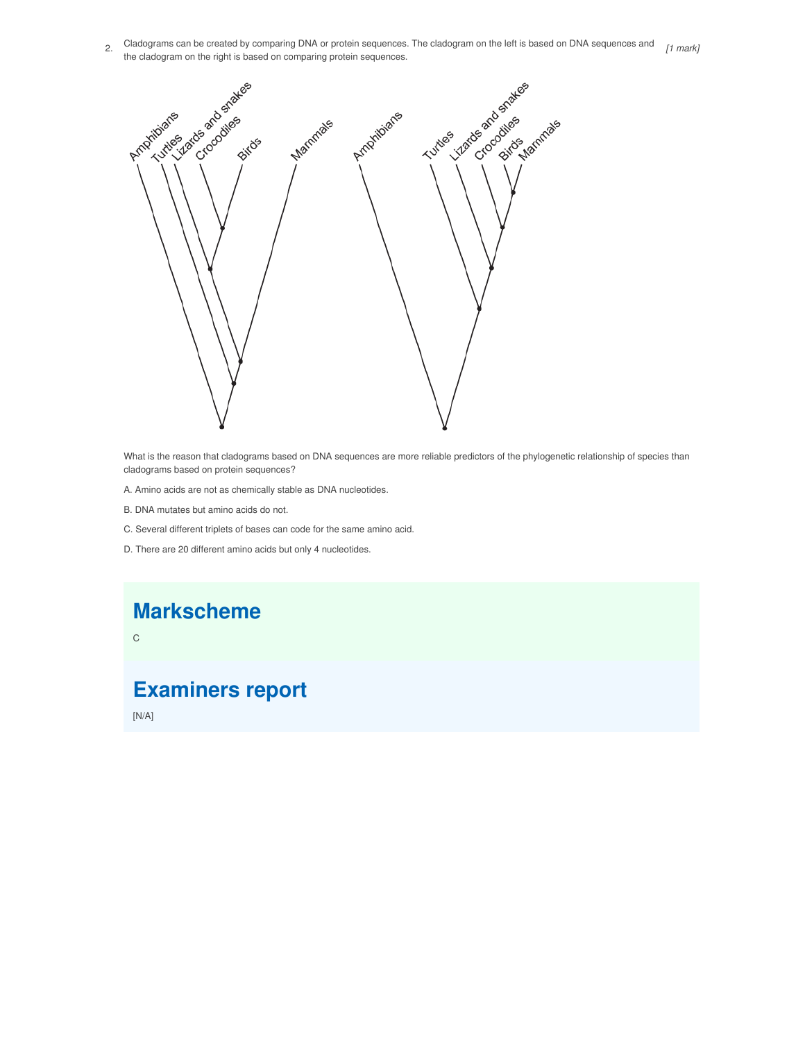2. Cladograms can be created by comparing DNA or protein sequences. The cladogram on the left is based on DNA sequences and *[1 mark]*the cladogram on the right is based on comparing protein sequences.



What is the reason that cladograms based on DNA sequences are more reliable predictors of the phylogenetic relationship of species than cladograms based on protein sequences?

- A. Amino acids are not as chemically stable as DNA nucleotides.
- B. DNA mutates but amino acids do not.
- C. Several different triplets of bases can code for the same amino acid.
- D. There are 20 different amino acids but only 4 nucleotides.

## **Markscheme**

C

## **Examiners report**

[N/A]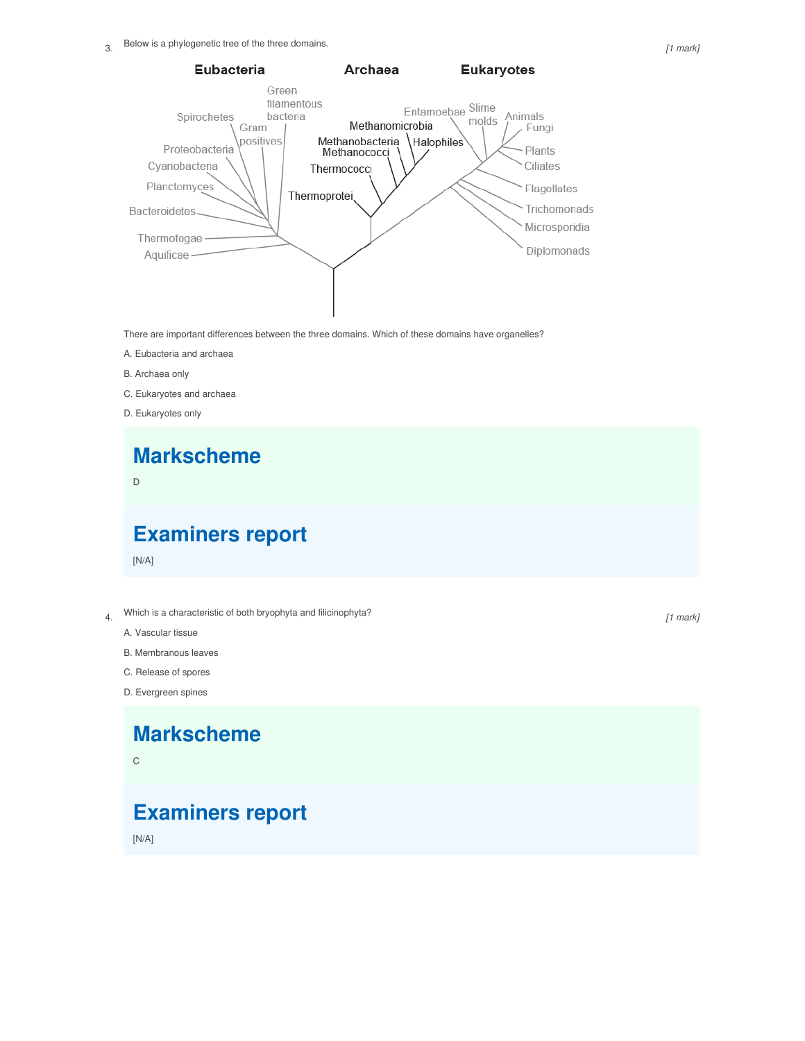

There are important differences between the three domains. Which of these domains have organelles?

- A. Eubacteria and archaea
- B. Archaea only
- C. Eukaryotes and archaea
- D. Eukaryotes only

# **Markscheme**

D

#### **Examiners report**

[N/A]

- 4. Which is <sup>a</sup> characteristic of both bryophyta and filicinophyta?
	- A. Vascular tissue
	- B. Membranous leaves
	- C. Release of spores
	- D. Evergreen spines

#### **Markscheme**

C

## **Examiners report**

[N/A]

*[1 mark]*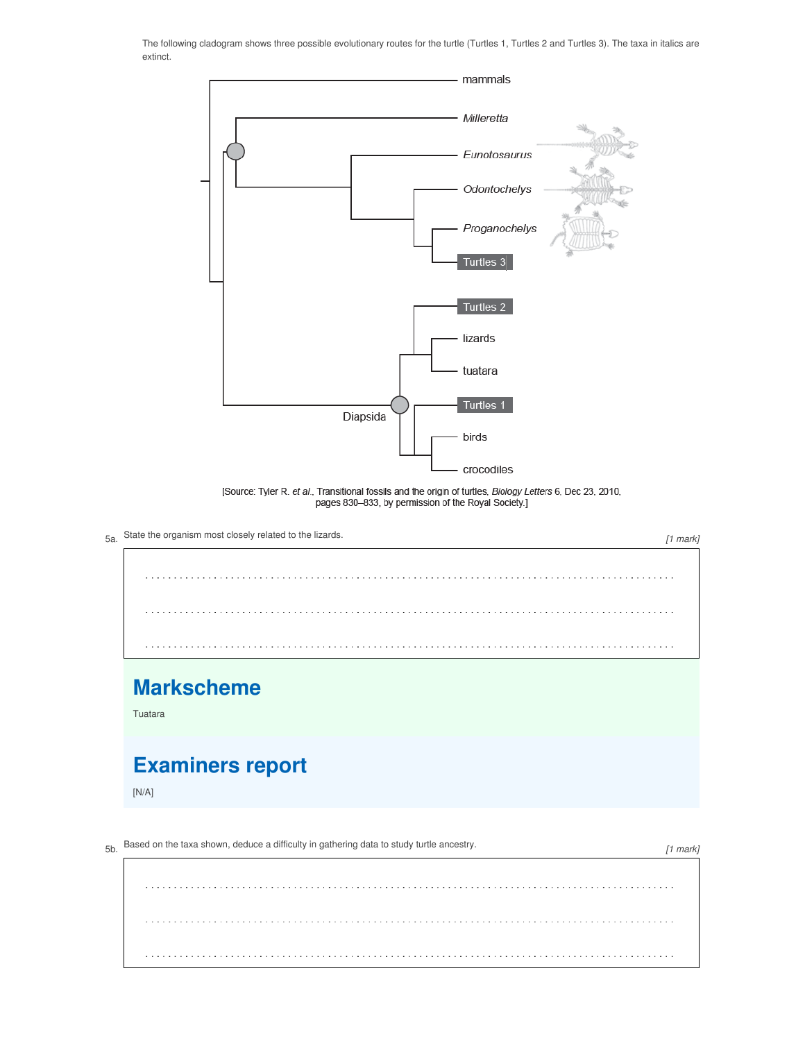The following cladogram shows three possible evolutionary routes for the turtle (Turtles 1, Turtles 2 and Turtles 3). The taxa in italics are extinct.



[Source: Tyler R. et al., Transitional fossils and the origin of turtles, Biology Letters 6, Dec 23, 2010, pages 830-833, by permission of the Royal Society.]



. . . . . . . . . . . . . . . . . . .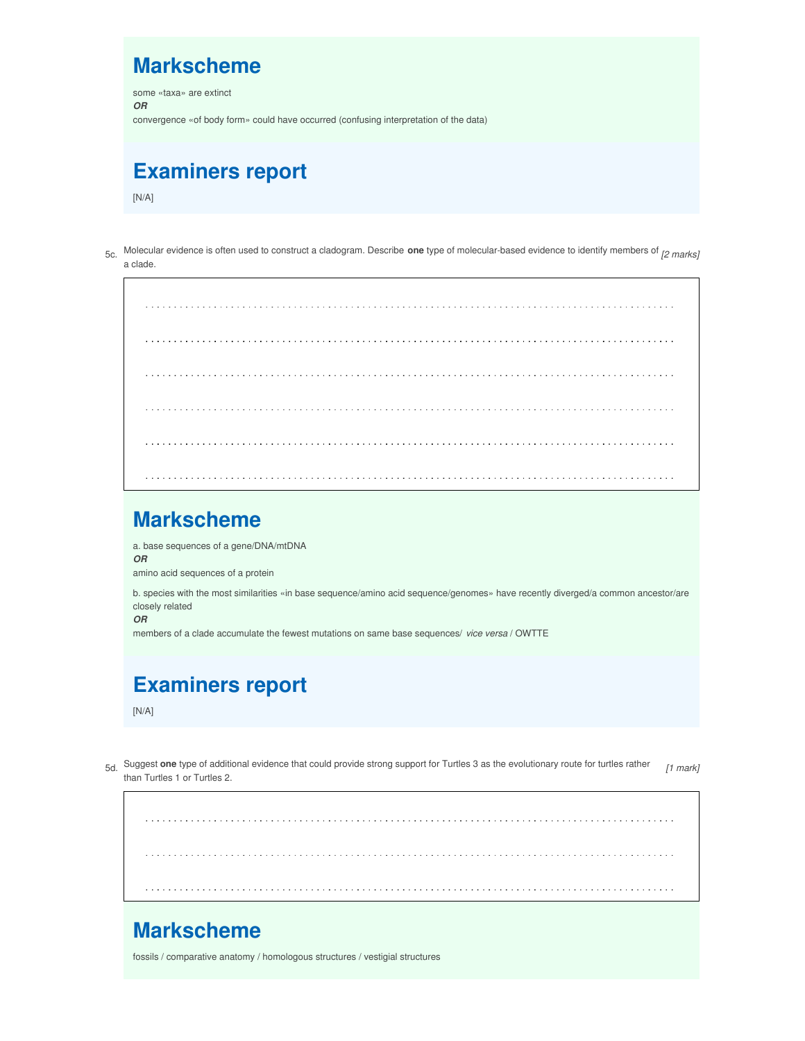#### **Markscheme**

some «taxa» are extinct *OR* convergence «of body form» could have occurred (confusing interpretation of the data)

#### **Examiners report**

 $[N/A]$ 

5c. Molecular evidence is often used to construct <sup>a</sup> cladogram. Describe **one** type of molecular-based evidence to identify members of *[2 marks]* a clade.

#### **Markscheme**

a. base sequences of a gene/DNA/mtDNA

*OR*

amino acid sequences of a protein

b. species with the most similarities «in base sequence/amino acid sequence/genomes» have recently diverged/a common ancestor/are closely related

*OR*

members of a clade accumulate the fewest mutations on same base sequences/ *vice versa* / OWTTE

### **Examiners report**

 $[N/A]$ 

5d. Suggest **one** type of additional evidence that could provide strong support for Turtles <sup>3</sup> as the evolutionary route for turtles rather than Turtles 1 or Turtles 2. *[1 mark]*

#### **Markscheme**

fossils / comparative anatomy / homologous structures / vestigial structures